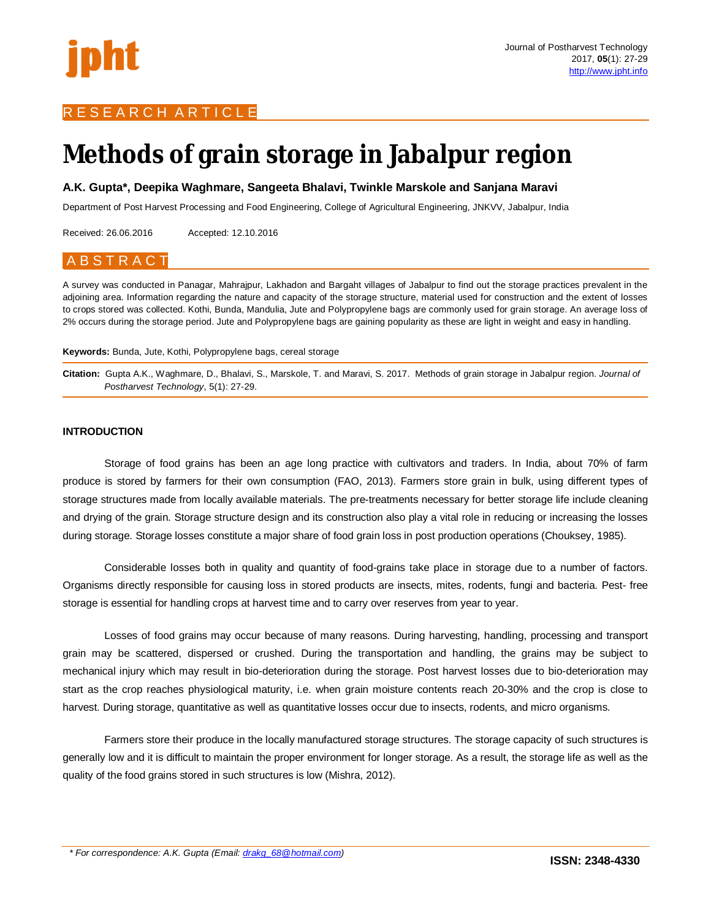## R E S E A R C H A R T I C L E

# **Methods of grain storage in Jabalpur region**

**A.K. Gupta\*, Deepika Waghmare, Sangeeta Bhalavi, Twinkle Marskole and Sanjana Maravi**

Department of Post Harvest Processing and Food Engineering, College of Agricultural Engineering, JNKVV, Jabalpur, India

Received: 26.06.2016 Accepted: 12.10.2016

# A B S T R A C T

A survey was conducted in Panagar, Mahrajpur, Lakhadon and Bargaht villages of Jabalpur to find out the storage practices prevalent in the adjoining area. Information regarding the nature and capacity of the storage structure, material used for construction and the extent of losses to crops stored was collected. Kothi, Bunda, Mandulia, Jute and Polypropylene bags are commonly used for grain storage. An average loss of 2% occurs during the storage period. Jute and Polypropylene bags are gaining popularity as these are light in weight and easy in handling.

#### **Keywords:** Bunda, Jute, Kothi, Polypropylene bags, cereal storage

**Citation:** Gupta A.K., Waghmare, D., Bhalavi, S., Marskole, T. and Maravi, S. 2017. Methods of grain storage in Jabalpur region. *Journal of Postharvest Technology*, 5(1): 27-29.

#### **INTRODUCTION**

Storage of food grains has been an age long practice with cultivators and traders. In India, about 70% of farm produce is stored by farmers for their own consumption (FAO, 2013). Farmers store grain in bulk, using different types of storage structures made from locally available materials. The pre-treatments necessary for better storage life include cleaning and drying of the grain. Storage structure design and its construction also play a vital role in reducing or increasing the losses during storage. Storage losses constitute a major share of food grain loss in post production operations (Chouksey, 1985).

Considerable losses both in quality and quantity of food-grains take place in storage due to a number of factors. Organisms directly responsible for causing loss in stored products are insects, mites, rodents, fungi and bacteria. Pest- free storage is essential for handling crops at harvest time and to carry over reserves from year to year.

Losses of food grains may occur because of many reasons. During harvesting, handling, processing and transport grain may be scattered, dispersed or crushed. During the transportation and handling, the grains may be subject to mechanical injury which may result in bio-deterioration during the storage. Post harvest losses due to bio-deterioration may start as the crop reaches physiological maturity, i.e. when grain moisture contents reach 20-30% and the crop is close to harvest. During storage, quantitative as well as quantitative losses occur due to insects, rodents, and micro organisms.

Farmers store their produce in the locally manufactured storage structures. The storage capacity of such structures is generally low and it is difficult to maintain the proper environment for longer storage. As a result, the storage life as well as the quality of the food grains stored in such structures is low (Mishra, 2012).

*\* For correspondence: A.K. Gupta (Email: drakg\_68@hotmail.com)*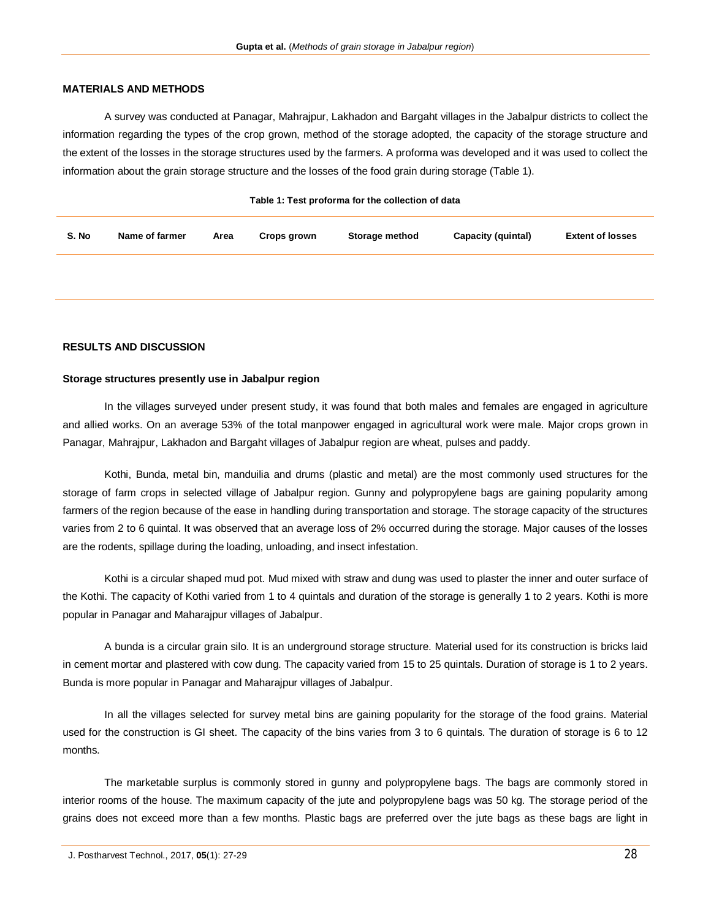#### **MATERIALS AND METHODS**

A survey was conducted at Panagar, Mahrajpur, Lakhadon and Bargaht villages in the Jabalpur districts to collect the information regarding the types of the crop grown, method of the storage adopted, the capacity of the storage structure and the extent of the losses in the storage structures used by the farmers. A proforma was developed and it was used to collect the information about the grain storage structure and the losses of the food grain during storage (Table 1).

| S. No | Name of farmer | Area | Crops grown | Storage method | Capacity (quintal) | <b>Extent of losses</b> |
|-------|----------------|------|-------------|----------------|--------------------|-------------------------|
|       |                |      |             |                |                    |                         |

#### **RESULTS AND DISCUSSION**

#### **Storage structures presently use in Jabalpur region**

In the villages surveyed under present study, it was found that both males and females are engaged in agriculture and allied works. On an average 53% of the total manpower engaged in agricultural work were male. Major crops grown in Panagar, Mahrajpur, Lakhadon and Bargaht villages of Jabalpur region are wheat, pulses and paddy.

Kothi, Bunda, metal bin, manduilia and drums (plastic and metal) are the most commonly used structures for the storage of farm crops in selected village of Jabalpur region. Gunny and polypropylene bags are gaining popularity among farmers of the region because of the ease in handling during transportation and storage. The storage capacity of the structures varies from 2 to 6 quintal. It was observed that an average loss of 2% occurred during the storage. Major causes of the losses are the rodents, spillage during the loading, unloading, and insect infestation.

Kothi is a circular shaped mud pot. Mud mixed with straw and dung was used to plaster the inner and outer surface of the Kothi. The capacity of Kothi varied from 1 to 4 quintals and duration of the storage is generally 1 to 2 years. Kothi is more popular in Panagar and Maharajpur villages of Jabalpur.

A bunda is a circular grain silo. It is an underground storage structure. Material used for its construction is bricks laid in cement mortar and plastered with cow dung. The capacity varied from 15 to 25 quintals. Duration of storage is 1 to 2 years. Bunda is more popular in Panagar and Maharajpur villages of Jabalpur.

In all the villages selected for survey metal bins are gaining popularity for the storage of the food grains. Material used for the construction is GI sheet. The capacity of the bins varies from 3 to 6 quintals. The duration of storage is 6 to 12 months.

The marketable surplus is commonly stored in gunny and polypropylene bags. The bags are commonly stored in interior rooms of the house. The maximum capacity of the jute and polypropylene bags was 50 kg. The storage period of the grains does not exceed more than a few months. Plastic bags are preferred over the jute bags as these bags are light in